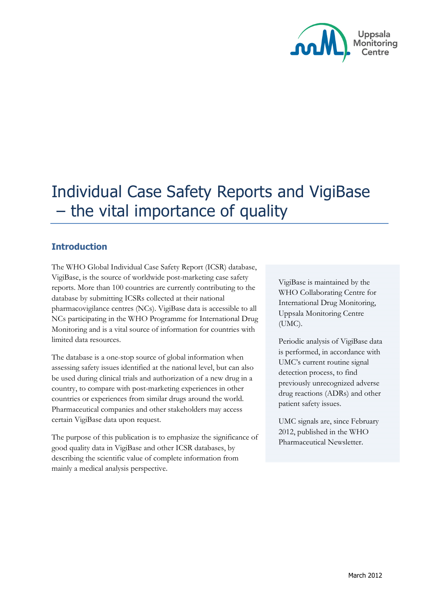

# Individual Case Safety Reports and VigiBase – the vital importance of quality

## **Introduction**

The WHO Global Individual Case Safety Report (ICSR) database, VigiBase, is the source of worldwide post-marketing case safety reports. More than 100 countries are currently contributing to the database by submitting ICSRs collected at their national pharmacovigilance centres (NCs). VigiBase data is accessible to all NCs participating in the WHO Programme for International Drug Monitoring and is a vital source of information for countries with limited data resources.

The database is a one-stop source of global information when assessing safety issues identified at the national level, but can also be used during clinical trials and authorization of a new drug in a country, to compare with post-marketing experiences in other countries or experiences from similar drugs around the world. Pharmaceutical companies and other stakeholders may access certain VigiBase data upon request.

The purpose of this publication is to emphasize the significance of good quality data in VigiBase and other ICSR databases, by describing the scientific value of complete information from mainly a medical analysis perspective.

VigiBase is maintained by the WHO Collaborating Centre for International Drug Monitoring, Uppsala Monitoring Centre (UMC).

Periodic analysis of VigiBase data is performed, in accordance with UMC's current routine signal detection process, to find previously unrecognized adverse drug reactions (ADRs) and other patient safety issues.

UMC signals are, since February 2012, published in the WHO Pharmaceutical Newsletter.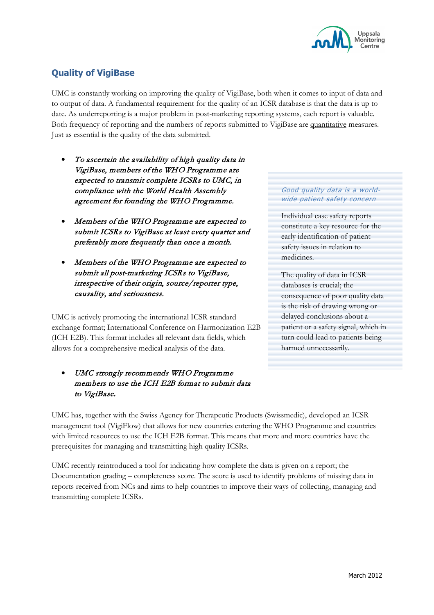

# **Quality of VigiBase**

UMC is constantly working on improving the quality of VigiBase, both when it comes to input of data and to output of data. A fundamental requirement for the quality of an ICSR database is that the data is up to date. As underreporting is a major problem in post-marketing reporting systems, each report is valuable. Both frequency of reporting and the numbers of reports submitted to VigiBase are quantitative measures. Just as essential is the quality of the data submitted.

- To ascertain the availability of high quality data in VigiBase, members of the WHO Programme are expected to transmit complete ICSRs to UMC, in compliance with the World Health Assembly agreement for founding the WHO Programme.
- Members of the WHO Programme are expected to submit ICSRs to VigiBase at least every quarter and preferably more frequently than once a month.
- Members of the WHO Programme are expected to submit all post-marketing ICSRs to VigiBase, irrespective of their origin, source/reporter type, causality, and seriousness.

UMC is actively promoting the international ICSR standard exchange format; International Conference on Harmonization E2B (ICH E2B). This format includes all relevant data fields, which allows for a comprehensive medical analysis of the data.

## • UMC strongly recommends WHO Programme members to use the ICH E2B format to submit data to VigiBase.

#### Good quality data is a worldwide patient safety concern

Individual case safety reports constitute a key resource for the early identification of patient safety issues in relation to medicines.

The quality of data in ICSR databases is crucial; the consequence of poor quality data is the risk of drawing wrong or delayed conclusions about a patient or a safety signal, which in turn could lead to patients being harmed unnecessarily.

UMC has, together with the Swiss Agency for Therapeutic Products (Swissmedic), developed an ICSR management tool (VigiFlow) that allows for new countries entering the WHO Programme and countries with limited resources to use the ICH E2B format. This means that more and more countries have the prerequisites for managing and transmitting high quality ICSRs.

UMC recently reintroduced a tool for indicating how complete the data is given on a report; the Documentation grading – completeness score. The score is used to identify problems of missing data in reports received from NCs and aims to help countries to improve their ways of collecting, managing and transmitting complete ICSRs.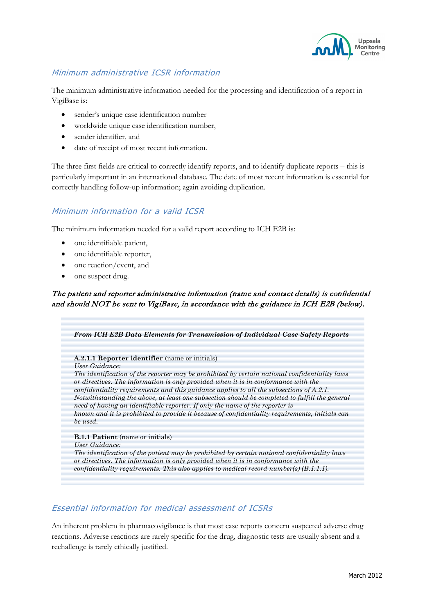

## Minimum administrative ICSR information

The minimum administrative information needed for the processing and identification of a report in VigiBase is:

- sender's unique case identification number
- worldwide unique case identification number,
- sender identifier, and
- date of receipt of most recent information.

The three first fields are critical to correctly identify reports, and to identify duplicate reports – this is particularly important in an international database. The date of most recent information is essential for correctly handling follow-up information; again avoiding duplication.

## Minimum information for a valid ICSR

The minimum information needed for a valid report according to ICH E2B is:

- one identifiable patient,
- one identifiable reporter,
- one reaction/event, and
- one suspect drug.

#### The patient and reporter administrative information (name and contact details) is confidential and should NOT be sent to VigiBase, in accordance with the guidance in ICH E2B (below).

*From ICH E2B Data Elements for Transmission of Individual Case Safety Reports* **A.2.1.1 Reporter identifier** (name or initials) *User Guidance: The identification of the reporter may be prohibited by certain national confidentiality laws or directives. The information is only provided when it is in conformance with the confidentiality requirements and this guidance applies to all the subsections of A.2.1. Notwithstanding the above, at least one subsection should be completed to fulfill the general need of having an identifiable reporter. If only the name of the reporter is known and it is prohibited to provide it because of confidentiality requirements, initials can be used.* **B.1.1 Patient** (name or initials) *User Guidance:*

*The identification of the patient may be prohibited by certain national confidentiality laws or directives. The information is only provided when it is in conformance with the confidentiality requirements. This also applies to medical record number(s) (B.1.1.1).*

#### Essential information for medical assessment of ICSRs

An inherent problem in pharmacovigilance is that most case reports concern suspected adverse drug reactions. Adverse reactions are rarely specific for the drug, diagnostic tests are usually absent and a rechallenge is rarely ethically justified.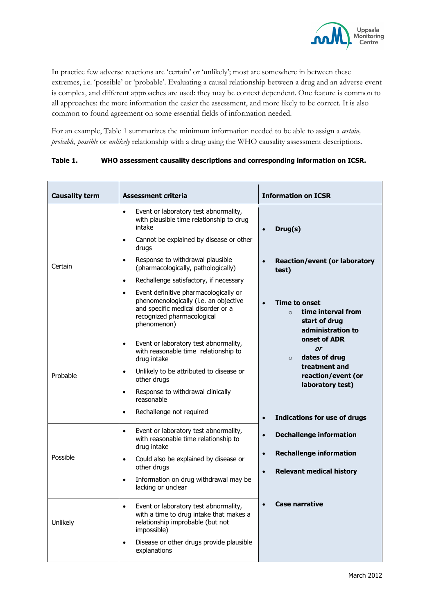

In practice few adverse reactions are 'certain' or 'unlikely'; most are somewhere in between these extremes, i.e. 'possible' or 'probable'. Evaluating a causal relationship between a drug and an adverse event is complex, and different approaches are used: they may be context dependent. One feature is common to all approaches: the more information the easier the assessment, and more likely to be correct. It is also common to found agreement on some essential fields of information needed.

For an example, Table 1 summarizes the minimum information needed to be able to assign a *certain, probable, possible* or *unlikely* relationship with a drug using the WHO causality assessment descriptions.

| <b>Causality term</b> | <b>Assessment criteria</b>                                                                                                                                                     | <b>Information on ICSR</b>                                                                                |
|-----------------------|--------------------------------------------------------------------------------------------------------------------------------------------------------------------------------|-----------------------------------------------------------------------------------------------------------|
| Certain               | Event or laboratory test abnormality,<br>$\bullet$<br>with plausible time relationship to drug<br>intake                                                                       | Drug(s)<br>$\bullet$                                                                                      |
|                       | Cannot be explained by disease or other<br>$\bullet$<br>drugs                                                                                                                  |                                                                                                           |
|                       | Response to withdrawal plausible<br>$\bullet$<br>(pharmacologically, pathologically)                                                                                           | <b>Reaction/event (or laboratory</b><br>$\bullet$<br>test)                                                |
|                       | Rechallenge satisfactory, if necessary<br>$\bullet$                                                                                                                            |                                                                                                           |
|                       | Event definitive pharmacologically or<br>$\bullet$<br>phenomenologically (i.e. an objective<br>and specific medical disorder or a<br>recognized pharmacological<br>phenomenon) | <b>Time to onset</b><br>$\bullet$<br>time interval from<br>$\Omega$<br>start of drug<br>administration to |
| Probable              | Event or laboratory test abnormality,<br>$\bullet$<br>with reasonable time relationship to<br>drug intake                                                                      | onset of ADR<br>or<br>dates of drug<br>$\circ$                                                            |
|                       | Unlikely to be attributed to disease or<br>$\bullet$<br>other drugs                                                                                                            | treatment and<br>reaction/event (or<br>laboratory test)                                                   |
|                       | Response to withdrawal clinically<br>$\bullet$<br>reasonable                                                                                                                   |                                                                                                           |
|                       | Rechallenge not required<br>$\bullet$                                                                                                                                          | <b>Indications for use of drugs</b><br>$\bullet$                                                          |
| Possible              | Event or laboratory test abnormality,<br>$\bullet$<br>with reasonable time relationship to<br>drug intake                                                                      | <b>Dechallenge information</b><br>$\bullet$                                                               |
|                       | Could also be explained by disease or<br>$\bullet$<br>other drugs                                                                                                              | <b>Rechallenge information</b><br>$\bullet$<br><b>Relevant medical history</b><br>$\bullet$               |
|                       | Information on drug withdrawal may be<br>$\bullet$<br>lacking or unclear                                                                                                       |                                                                                                           |
| Unlikely              | Event or laboratory test abnormality,<br>$\bullet$<br>with a time to drug intake that makes a<br>relationship improbable (but not<br>impossible)                               | <b>Case narrative</b><br>$\bullet$                                                                        |
|                       | Disease or other drugs provide plausible<br>$\bullet$<br>explanations                                                                                                          |                                                                                                           |

#### **Table 1. WHO assessment causality descriptions and corresponding information on ICSR.**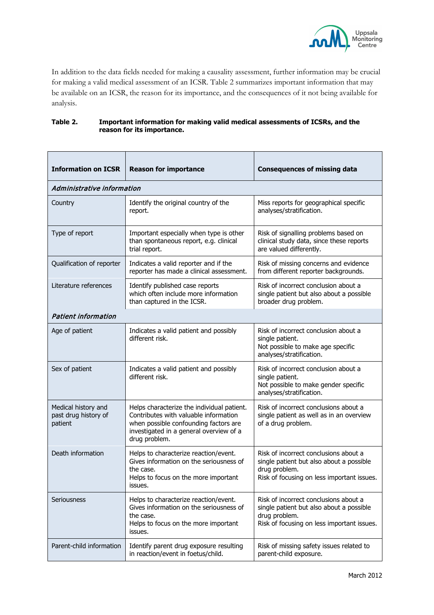

In addition to the data fields needed for making a causality assessment, further information may be crucial for making a valid medical assessment of an ICSR. Table 2 summarizes important information that may be available on an ICSR, the reason for its importance, and the consequences of it not being available for analysis.

#### **Table 2. Important information for making valid medical assessments of ICSRs, and the reason for its importance.**

| <b>Information on ICSR</b>                             | <b>Reason for importance</b>                                                                                                                                                             | <b>Consequences of missing data</b>                                                                                                              |  |  |
|--------------------------------------------------------|------------------------------------------------------------------------------------------------------------------------------------------------------------------------------------------|--------------------------------------------------------------------------------------------------------------------------------------------------|--|--|
| Administrative information                             |                                                                                                                                                                                          |                                                                                                                                                  |  |  |
| Country                                                | Identify the original country of the<br>report.                                                                                                                                          | Miss reports for geographical specific<br>analyses/stratification.                                                                               |  |  |
| Type of report                                         | Important especially when type is other<br>than spontaneous report, e.g. clinical<br>trial report.                                                                                       | Risk of signalling problems based on<br>clinical study data, since these reports<br>are valued differently.                                      |  |  |
| Qualification of reporter                              | Indicates a valid reporter and if the<br>reporter has made a clinical assessment.                                                                                                        | Risk of missing concerns and evidence<br>from different reporter backgrounds.                                                                    |  |  |
| Literature references                                  | Identify published case reports<br>which often include more information<br>than captured in the ICSR.                                                                                    | Risk of incorrect conclusion about a<br>single patient but also about a possible<br>broader drug problem.                                        |  |  |
| <b>Patient information</b>                             |                                                                                                                                                                                          |                                                                                                                                                  |  |  |
| Age of patient                                         | Indicates a valid patient and possibly<br>different risk.                                                                                                                                | Risk of incorrect conclusion about a<br>single patient.<br>Not possible to make age specific<br>analyses/stratification.                         |  |  |
| Sex of patient                                         | Indicates a valid patient and possibly<br>different risk.                                                                                                                                | Risk of incorrect conclusion about a<br>single patient.<br>Not possible to make gender specific<br>analyses/stratification.                      |  |  |
| Medical history and<br>past drug history of<br>patient | Helps characterize the individual patient.<br>Contributes with valuable information<br>when possible confounding factors are<br>investigated in a general overview of a<br>drug problem. | Risk of incorrect conclusions about a<br>single patient as well as in an overview<br>of a drug problem.                                          |  |  |
| Death information                                      | Helps to characterize reaction/event.<br>Gives information on the seriousness of<br>the case.<br>Helps to focus on the more important<br>issues.                                         | Risk of incorrect conclusions about a<br>single patient but also about a possible<br>drug problem.<br>Risk of focusing on less important issues. |  |  |
| Seriousness                                            | Helps to characterize reaction/event.<br>Gives information on the seriousness of<br>the case.<br>Helps to focus on the more important<br>issues.                                         | Risk of incorrect conclusions about a<br>single patient but also about a possible<br>drug problem.<br>Risk of focusing on less important issues. |  |  |
| Parent-child information                               | Identify parent drug exposure resulting<br>in reaction/event in foetus/child.                                                                                                            | Risk of missing safety issues related to<br>parent-child exposure.                                                                               |  |  |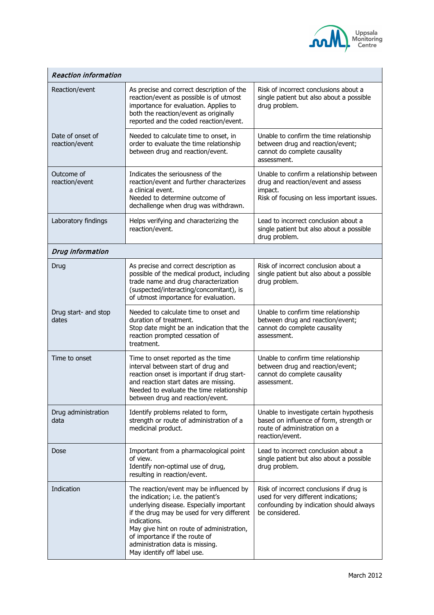

| <b>Reaction information</b>        |                                                                                                                                                                                                                                                                                                                                         |                                                                                                                                               |  |  |
|------------------------------------|-----------------------------------------------------------------------------------------------------------------------------------------------------------------------------------------------------------------------------------------------------------------------------------------------------------------------------------------|-----------------------------------------------------------------------------------------------------------------------------------------------|--|--|
| Reaction/event                     | As precise and correct description of the<br>reaction/event as possible is of utmost<br>importance for evaluation. Applies to<br>both the reaction/event as originally<br>reported and the coded reaction/event.                                                                                                                        | Risk of incorrect conclusions about a<br>single patient but also about a possible<br>drug problem.                                            |  |  |
| Date of onset of<br>reaction/event | Needed to calculate time to onset, in<br>order to evaluate the time relationship<br>between drug and reaction/event.                                                                                                                                                                                                                    | Unable to confirm the time relationship<br>between drug and reaction/event;<br>cannot do complete causality<br>assessment.                    |  |  |
| Outcome of<br>reaction/event       | Indicates the seriousness of the<br>reaction/event and further characterizes<br>a clinical event.<br>Needed to determine outcome of<br>dechallenge when drug was withdrawn.                                                                                                                                                             | Unable to confirm a relationship between<br>drug and reaction/event and assess<br>impact.<br>Risk of focusing on less important issues.       |  |  |
| Laboratory findings                | Helps verifying and characterizing the<br>reaction/event.                                                                                                                                                                                                                                                                               | Lead to incorrect conclusion about a<br>single patient but also about a possible<br>drug problem.                                             |  |  |
| Drug information                   |                                                                                                                                                                                                                                                                                                                                         |                                                                                                                                               |  |  |
| Drug                               | As precise and correct description as<br>possible of the medical product, including<br>trade name and drug characterization<br>(suspected/interacting/concomitant), is<br>of utmost importance for evaluation.                                                                                                                          | Risk of incorrect conclusion about a<br>single patient but also about a possible<br>drug problem.                                             |  |  |
| Drug start- and stop<br>dates      | Needed to calculate time to onset and<br>duration of treatment.<br>Stop date might be an indication that the<br>reaction prompted cessation of<br>treatment.                                                                                                                                                                            | Unable to confirm time relationship<br>between drug and reaction/event;<br>cannot do complete causality<br>assessment.                        |  |  |
| Time to onset                      | Time to onset reported as the time<br>interval between start of drug and<br>reaction onset is important if drug start-<br>and reaction start dates are missing.<br>Needed to evaluate the time relationship<br>between drug and reaction/event.                                                                                         | Unable to confirm time relationship<br>between drug and reaction/event;<br>cannot do complete causality<br>assessment.                        |  |  |
| Drug administration<br>data        | Identify problems related to form,<br>strength or route of administration of a<br>medicinal product.                                                                                                                                                                                                                                    | Unable to investigate certain hypothesis<br>based on influence of form, strength or<br>route of administration on a<br>reaction/event.        |  |  |
| Dose                               | Important from a pharmacological point<br>of view.<br>Identify non-optimal use of drug,<br>resulting in reaction/event.                                                                                                                                                                                                                 | Lead to incorrect conclusion about a<br>single patient but also about a possible<br>drug problem.                                             |  |  |
| Indication                         | The reaction/event may be influenced by<br>the indication; i.e. the patient's<br>underlying disease. Especially important<br>if the drug may be used for very different<br>indications.<br>May give hint on route of administration,<br>of importance if the route of<br>administration data is missing.<br>May identify off label use. | Risk of incorrect conclusions if drug is<br>used for very different indications;<br>confounding by indication should always<br>be considered. |  |  |